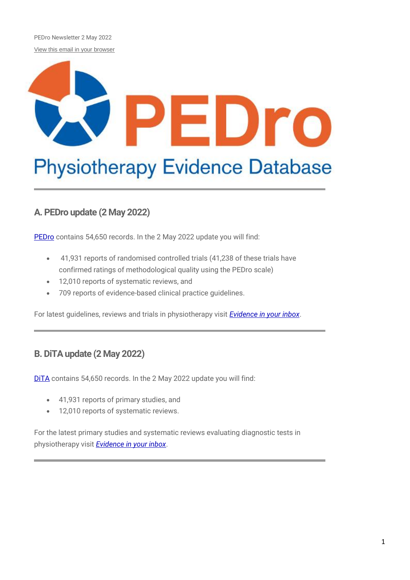PEDro Newsletter 2 May 2022 [View this email in your browser](https://us11.campaign-archive.com/?e=%5bUNIQID%5d&u=73dab3f8d5cca1a3fb365053a&id=e0f78d75ab)

# $\blacksquare$ Dro **Physiotherapy Evidence Database**

### **A. PEDro update (2 May 2022)**

[PEDro](http://pedro.org.au/) contains 54,650 records. In the 2 May 2022 update you will find:

- 41,931 reports of randomised controlled trials (41,238 of these trials have confirmed ratings of methodological quality using the PEDro scale)
- 12,010 reports of systematic reviews, and
- 709 reports of evidence-based clinical practice guidelines.

For latest guidelines, reviews and trials in physiotherapy visit *[Evidence in your inbox](https://pedro.org.au/english/browse/evidence-in-your-inbox)*.

#### **B. DiTA update (2 May 2022)**

DITA contains 54,650 records. In the 2 May 2022 update you will find:

- 41,931 reports of primary studies, and
- 12,010 reports of systematic reviews.

For the latest primary studies and systematic reviews evaluating diagnostic tests in physiotherapy visit *[Evidence in your inbox](https://dita.org.au/browse/evidence-in-your-inbox/)*.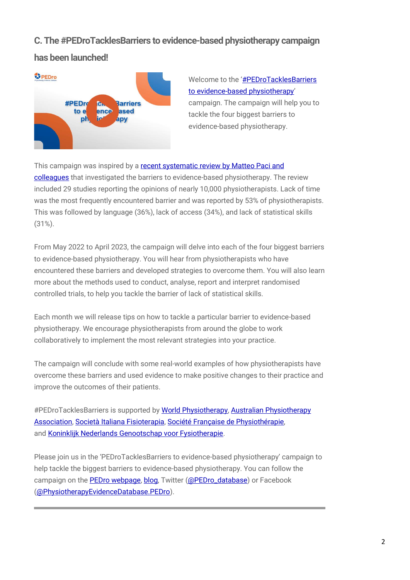#### **C. The #PEDroTacklesBarriers to evidence-based physiotherapy campaign**

#### **has been launched!**



Welcome to the '#PEDroTacklesBarriers [to evidence-based physiotherapy](https://pedro.org.au/english/learn/pedrotacklesbarriers/)' campaign. The campaign will help you to tackle the four biggest barriers to evidence-based physiotherapy.

This campaign was inspired by a [recent systematic review by Matteo Paci and](https://dx.doi.org/10.1093/intqhc/mzab093)  [colleagues](https://dx.doi.org/10.1093/intqhc/mzab093) that investigated the barriers to evidence-based physiotherapy. The review included 29 studies reporting the opinions of nearly 10,000 physiotherapists. Lack of time was the most frequently encountered barrier and was reported by 53% of physiotherapists. This was followed by language (36%), lack of access (34%), and lack of statistical skills (31%).

From May 2022 to April 2023, the campaign will delve into each of the four biggest barriers to evidence-based physiotherapy. You will hear from physiotherapists who have encountered these barriers and developed strategies to overcome them. You will also learn more about the methods used to conduct, analyse, report and interpret randomised controlled trials, to help you tackle the barrier of lack of statistical skills.

Each month we will release tips on how to tackle a particular barrier to evidence-based physiotherapy. We encourage physiotherapists from around the globe to work collaboratively to implement the most relevant strategies into your practice.

The campaign will conclude with some real-world examples of how physiotherapists have overcome these barriers and used evidence to make positive changes to their practice and improve the outcomes of their patients.

#PEDroTacklesBarriers is supported by [World Physiotherapy,](https://world.physio/) Australian Physiotherapy [Association,](https://australian.physio/) [Società Italiana Fisioterapia,](https://www.sif-fisioterapia.it/) [Société Française de Physiothérapie,](https://www.sfphysio.fr/) and Koninklijk Nederlands [Genootschap voor Fysiotherapie.](https://www.kngf.nl/)

Please join us in the 'PEDroTacklesBarriers to evidence-based physiotherapy' campaign to help tackle the biggest barriers to evidence-based physiotherapy. You can follow the campaign on the [PEDro webpage,](https://pedro.org.au/english/learn/pedrotacklesbarriers/) [blog,](https://pedro.org.au/category/english/pedrotacklesbarriers/) Twitter [\(@PEDro\\_database\)](https://twitter.com/PEDro_database) or Facebook [\(@PhysiotherapyEvidenceDatabase.PEDro\)](https://www.facebook.com/PhysiotherapyEvidenceDatabase.PEDro).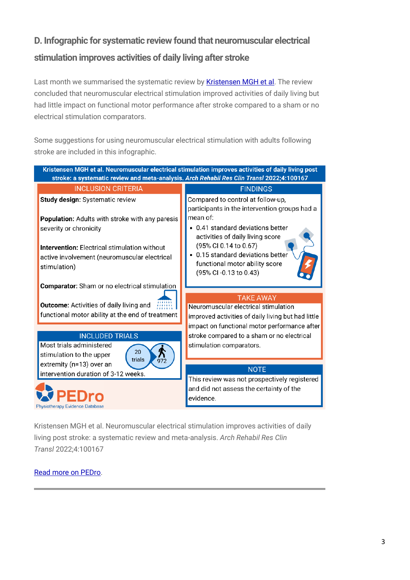## **D. Infographic for systematic review found that neuromuscular electrical stimulation improves activities of daily living after stroke**

Last month we summarised the systematic review by **Kristensen MGH et al**. The review concluded that neuromuscular electrical stimulation improved activities of daily living but had little impact on functional motor performance after stroke compared to a sham or no electrical stimulation comparators.

Some suggestions for using neuromuscular electrical stimulation with adults following stroke are included in this infographic.



Kristensen MGH et al. Neuromuscular electrical stimulation improves activities of daily living post stroke: a systematic review and meta-analysis. *Arch Rehabil Res Clin Transl* 2022;4:100167

#### [Read more on PEDro.](https://search.pedro.org.au/search-results/record-detail/68364)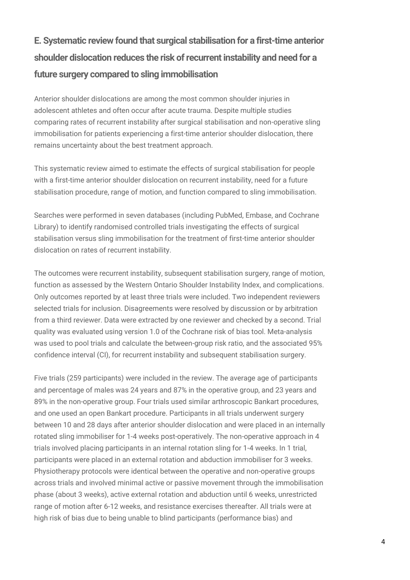# **E. Systematic review found that surgical stabilisation for a first-time anterior shoulder dislocation reduces the risk of recurrent instability and need for a future surgery compared to sling immobilisation**

Anterior shoulder dislocations are among the most common shoulder injuries in adolescent athletes and often occur after acute trauma. Despite multiple studies comparing rates of recurrent instability after surgical stabilisation and non-operative sling immobilisation for patients experiencing a first-time anterior shoulder dislocation, there remains uncertainty about the best treatment approach.

This systematic review aimed to estimate the effects of surgical stabilisation for people with a first-time anterior shoulder dislocation on recurrent instability, need for a future stabilisation procedure, range of motion, and function compared to sling immobilisation.

Searches were performed in seven databases (including PubMed, Embase, and Cochrane Library) to identify randomised controlled trials investigating the effects of surgical stabilisation versus sling immobilisation for the treatment of first-time anterior shoulder dislocation on rates of recurrent instability.

The outcomes were recurrent instability, subsequent stabilisation surgery, range of motion, function as assessed by the Western Ontario Shoulder Instability Index, and complications. Only outcomes reported by at least three trials were included. Two independent reviewers selected trials for inclusion. Disagreements were resolved by discussion or by arbitration from a third reviewer. Data were extracted by one reviewer and checked by a second. Trial quality was evaluated using version 1.0 of the Cochrane risk of bias tool. Meta-analysis was used to pool trials and calculate the between-group risk ratio, and the associated 95% confidence interval (CI), for recurrent instability and subsequent stabilisation surgery.

Five trials (259 participants) were included in the review. The average age of participants and percentage of males was 24 years and 87% in the operative group, and 23 years and 89% in the non-operative group. Four trials used similar arthroscopic Bankart procedures, and one used an open Bankart procedure. Participants in all trials underwent surgery between 10 and 28 days after anterior shoulder dislocation and were placed in an internally rotated sling immobiliser for 1-4 weeks post-operatively. The non-operative approach in 4 trials involved placing participants in an internal rotation sling for 1-4 weeks. In 1 trial, participants were placed in an external rotation and abduction immobiliser for 3 weeks. Physiotherapy protocols were identical between the operative and non-operative groups across trials and involved minimal active or passive movement through the immobilisation phase (about 3 weeks), active external rotation and abduction until 6 weeks, unrestricted range of motion after 6-12 weeks, and resistance exercises thereafter. All trials were at high risk of bias due to being unable to blind participants (performance bias) and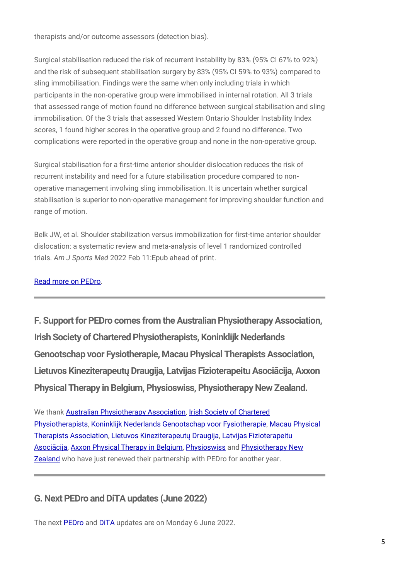therapists and/or outcome assessors (detection bias).

Surgical stabilisation reduced the risk of recurrent instability by 83% (95% CI 67% to 92%) and the risk of subsequent stabilisation surgery by 83% (95% CI 59% to 93%) compared to sling immobilisation. Findings were the same when only including trials in which participants in the non-operative group were immobilised in internal rotation. All 3 trials that assessed range of motion found no difference between surgical stabilisation and sling immobilisation. Of the 3 trials that assessed Western Ontario Shoulder Instability Index scores, 1 found higher scores in the operative group and 2 found no difference. Two complications were reported in the operative group and none in the non-operative group.

Surgical stabilisation for a first-time anterior shoulder dislocation reduces the risk of recurrent instability and need for a future stabilisation procedure compared to nonoperative management involving sling immobilisation. It is uncertain whether surgical stabilisation is superior to non-operative management for improving shoulder function and range of motion.

Belk JW, et al. Shoulder stabilization versus immobilization for first-time anterior shoulder dislocation: a systematic review and meta-analysis of level 1 randomized controlled trials. *Am J Sports Med* 2022 Feb 11:Epub ahead of print.

[Read more on PEDro.](https://search.pedro.org.au/search-results/record-detail/68626)

**F. Support for PEDro comes from the Australian Physiotherapy Association, Irish Society of Chartered Physiotherapists, Koninklijk Nederlands Genootschap voor Fysiotherapie, Macau Physical Therapists Association, Lietuvos Kineziterapeutų Draugija, Latvijas Fizioterapeitu Asociācija, Axxon Physical Therapy in Belgium, Physioswiss, Physiotherapy New Zealand.**

We thank [Australian Physiotherapy Association,](https://australian.physio/) [Irish Society of Chartered](http://www.iscp.ie/)  [Physiotherapists,](http://www.iscp.ie/) [Koninklijk Nederlands Genootschap voor Fysiotherapie,](http://www.kngf.nl/) [Macau Physical](http://www.mpta.org.mo/)  [Therapists Association,](http://www.mpta.org.mo/) [Lietuvos Kineziterapeutų Draugija](http://www.lktd.lt/), [Latvijas Fizioterapeitu](http://fizioterapeitiem.lv/)  [Asociācija](http://fizioterapeitiem.lv/), [Axxon Physical Therapy in Belgium,](http://www.axxon.be/nl) [Physioswiss](http://www.physioswiss.ch/) and [Physiotherapy New](https://pnz.org.nz/)  [Zealand](https://pnz.org.nz/) who have just renewed their partnership with PEDro for another year.

#### **G. Next PEDro and DiTA updates (June 2022)**

The next **[PEDro](http://pedro.org.au/)** and **DITA** updates are on Monday 6 June 2022.